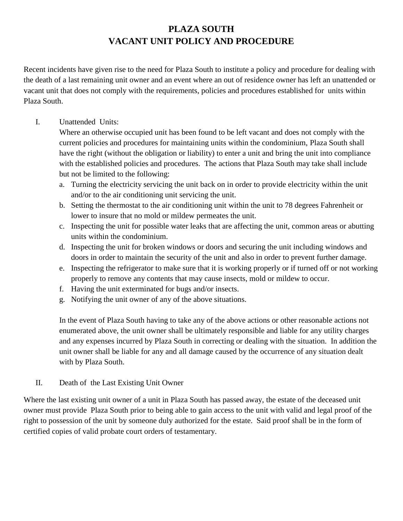## **PLAZA SOUTH VACANT UNIT POLICY AND PROCEDURE**

Recent incidents have given rise to the need for Plaza South to institute a policy and procedure for dealing with the death of a last remaining unit owner and an event where an out of residence owner has left an unattended or vacant unit that does not comply with the requirements, policies and procedures established for units within Plaza South.

## I. Unattended Units:

Where an otherwise occupied unit has been found to be left vacant and does not comply with the current policies and procedures for maintaining units within the condominium, Plaza South shall have the right (without the obligation or liability) to enter a unit and bring the unit into compliance with the established policies and procedures. The actions that Plaza South may take shall include but not be limited to the following:

- a. Turning the electricity servicing the unit back on in order to provide electricity within the unit and/or to the air conditioning unit servicing the unit.
- b. Setting the thermostat to the air conditioning unit within the unit to 78 degrees Fahrenheit or lower to insure that no mold or mildew permeates the unit.
- c. Inspecting the unit for possible water leaks that are affecting the unit, common areas or abutting units within the condominium.
- d. Inspecting the unit for broken windows or doors and securing the unit including windows and doors in order to maintain the security of the unit and also in order to prevent further damage.
- e. Inspecting the refrigerator to make sure that it is working properly or if turned off or not working properly to remove any contents that may cause insects, mold or mildew to occur.
- f. Having the unit exterminated for bugs and/or insects.
- g. Notifying the unit owner of any of the above situations.

In the event of Plaza South having to take any of the above actions or other reasonable actions not enumerated above, the unit owner shall be ultimately responsible and liable for any utility charges and any expenses incurred by Plaza South in correcting or dealing with the situation. In addition the unit owner shall be liable for any and all damage caused by the occurrence of any situation dealt with by Plaza South.

II. Death of the Last Existing Unit Owner

Where the last existing unit owner of a unit in Plaza South has passed away, the estate of the deceased unit owner must provide Plaza South prior to being able to gain access to the unit with valid and legal proof of the right to possession of the unit by someone duly authorized for the estate. Said proof shall be in the form of certified copies of valid probate court orders of testamentary.